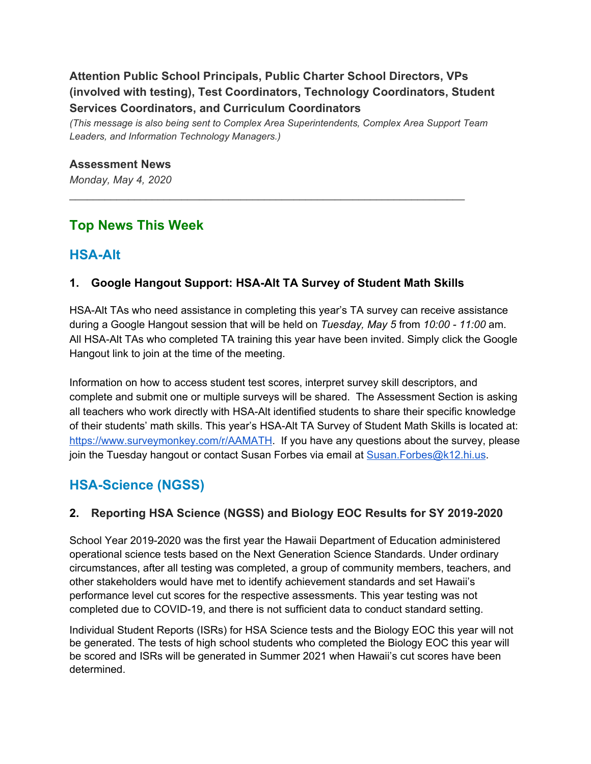## **Attention Public School Principals, Public Charter School Directors, VPs (involved with testing), Test Coordinators, Technology Coordinators, Student Services Coordinators, and Curriculum Coordinators**

*(This message is also being sent to Complex Area Superintendents, Complex Area Support Team Leaders, and Information Technology Managers.)*

#### **Assessment News**

*Monday, May 4, 2020*

## **Top News This Week**

## **HSA-Alt**

#### **1. Google Hangout Support: HSA-Alt TA Survey of Student Math Skills**

 $\mathcal{L}_\text{G} = \{ \mathcal{L}_\text{G} = \{ \mathcal{L}_\text{G} = \{ \mathcal{L}_\text{G} = \{ \mathcal{L}_\text{G} = \{ \mathcal{L}_\text{G} = \{ \mathcal{L}_\text{G} = \{ \mathcal{L}_\text{G} = \{ \mathcal{L}_\text{G} = \{ \mathcal{L}_\text{G} = \{ \mathcal{L}_\text{G} = \{ \mathcal{L}_\text{G} = \{ \mathcal{L}_\text{G} = \{ \mathcal{L}_\text{G} = \{ \mathcal{L}_\text{G} = \{ \mathcal{L}_\text{G$ 

HSA-Alt TAs who need assistance in completing this year's TA survey can receive assistance during a Google Hangout session that will be held on *Tuesday, May 5* from *10:00 - 11:00* am. All HSA-Alt TAs who completed TA training this year have been invited. Simply click the Google Hangout link to join at the time of the meeting.

Information on how to access student test scores, interpret survey skill descriptors, and complete and submit one or multiple surveys will be shared. The Assessment Section is asking all teachers who work directly with HSA-Alt identified students to share their specific knowledge of their students' math skills. This year's HSA-Alt TA Survey of Student Math Skills is located at: <https://www.surveymonkey.com/r/AAMATH>. If you have any questions about the survey, please join the Tuesday hangout or contact Susan Forbes via email at [Susan.Forbes@k12.hi.us](mailto:Susan.Forbes@k12.hi.us).

## **HSA-Science (NGSS)**

### **2. Reporting HSA Science (NGSS) and Biology EOC Results for SY 2019-2020**

School Year 2019-2020 was the first year the Hawaii Department of Education administered operational science tests based on the Next Generation Science Standards. Under ordinary circumstances, after all testing was completed, a group of community members, teachers, and other stakeholders would have met to identify achievement standards and set Hawaii's performance level cut scores for the respective assessments. This year testing was not completed due to COVID-19, and there is not sufficient data to conduct standard setting.

Individual Student Reports (ISRs) for HSA Science tests and the Biology EOC this year will not be generated. The tests of high school students who completed the Biology EOC this year will be scored and ISRs will be generated in Summer 2021 when Hawaii's cut scores have been determined.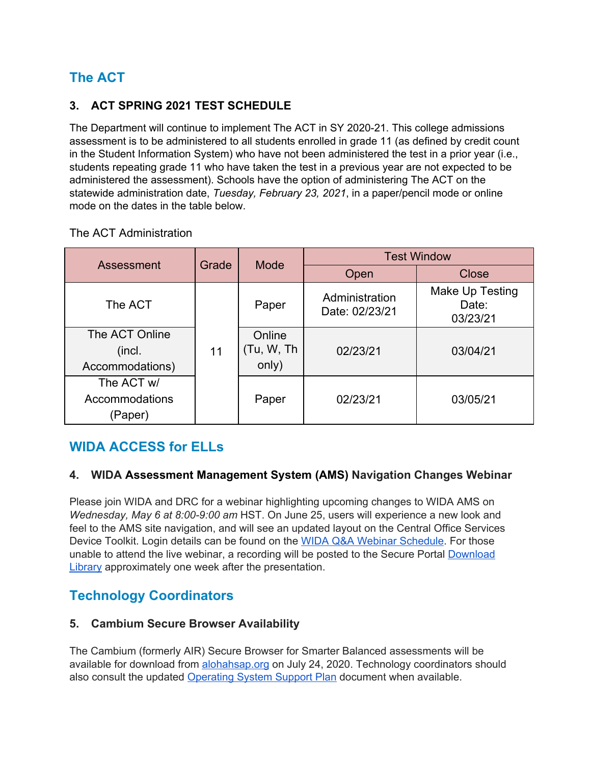# **The ACT**

## **3. ACT SPRING 2021 TEST SCHEDULE**

The Department will continue to implement The ACT in SY 2020-21. This college admissions assessment is to be administered to all students enrolled in grade 11 (as defined by credit count in the Student Information System) who have not been administered the test in a prior year (i.e., students repeating grade 11 who have taken the test in a previous year are not expected to be administered the assessment). Schools have the option of administering The ACT on the statewide administration date, *Tuesday, February 23, 2021*, in a paper/pencil mode or online mode on the dates in the table below.

| Assessment                                  | Grade | Mode                          | <b>Test Window</b>               |                                      |
|---------------------------------------------|-------|-------------------------------|----------------------------------|--------------------------------------|
|                                             |       |                               | Open                             | <b>Close</b>                         |
| The ACT                                     | 11    | Paper                         | Administration<br>Date: 02/23/21 | Make Up Testing<br>Date:<br>03/23/21 |
| The ACT Online<br>(incl.<br>Accommodations) |       | Online<br>(Tu, W, Th<br>only) | 02/23/21                         | 03/04/21                             |
| The ACT w/<br>Accommodations<br>(Paper)     |       | Paper                         | 02/23/21                         | 03/05/21                             |

The ACT Administration

# **WIDA ACCESS for ELLs**

### **4. WIDA Assessment Management System (AMS) Navigation Changes Webinar**

Please join WIDA and DRC for a webinar highlighting upcoming changes to WIDA AMS on *Wednesday, May 6 at 8:00-9:00 am* HST. On June 25, users will experience a new look and feel to the AMS site navigation, and will see an updated layout on the Central Office Services Device Toolkit. Login details can be found on the WIDA Q&A Webinar [Schedule.](https://portal.wida.us/GetResource/2345?utm_source=CR-WW042920&utm_medium=email&utm_campaign=WIDAWednesday&utm_content=text-WIDA-Q%26A-Webinar-Schedule) For those unable to attend the live webinar, a recording will be posted to the Secure Portal [Download](https://portal.wida.us/client/DownloadLibrary.aspx?utm_source=CR-WW042920&utm_medium=email&utm_campaign=WIDAWednesday&utm_content=text-Download-Library) [Library](https://portal.wida.us/client/DownloadLibrary.aspx?utm_source=CR-WW042920&utm_medium=email&utm_campaign=WIDAWednesday&utm_content=text-Download-Library) approximately one week after the presentation.

## **Technology Coordinators**

### **5. Cambium Secure Browser Availability**

The Cambium (formerly AIR) Secure Browser for Smarter Balanced assessments will be available for download from [alohahsap.org](https://alohahsap.org/secure-browsers.stml) on July 24, 2020. Technology coordinators should also consult the updated [Operating](https://smarterbalanced.alohahsap.org/resources/technology/) System Support Plan document when available.